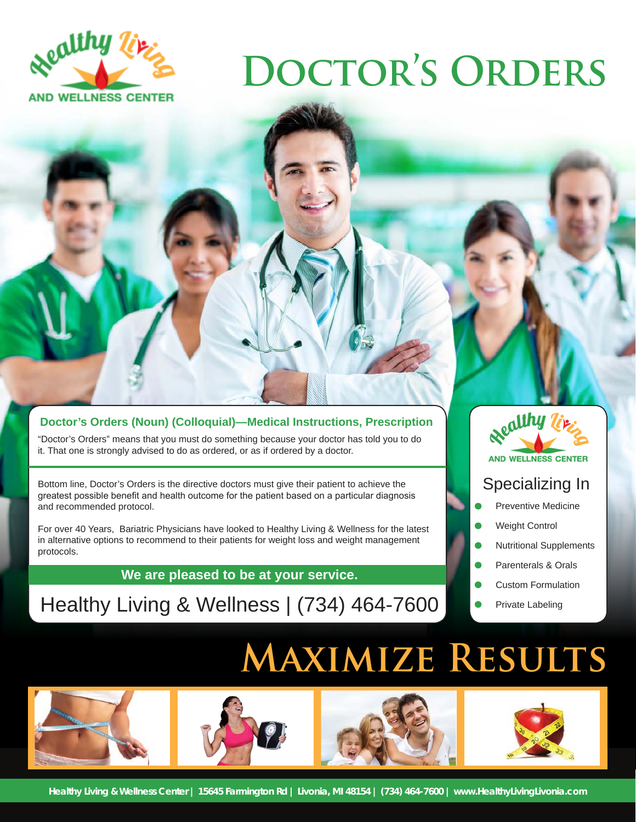

# **Doctor's Orders**

## **Doctor's Orders (Noun) (Colloquial)—Medical Instructions, Prescription**

"Doctor's Orders" means that you must do something because your doctor has told you to do it. That one is strongly advised to do as ordered, or as if ordered by a doctor.

Bottom line, Doctor's Orders is the directive doctors must give their patient to achieve the greatest possible benefit and health outcome for the patient based on a particular diagnosis and recommended protocol.

For over 40 Years, Bariatric Physicians have looked to Healthy Living & Wellness for the latest in alternative options to recommend to their patients for weight loss and weight management protocols.

**We are pleased to be at your service.**

# Healthy Living & Wellness | (734) 464-7600



# Specializing In

- Preventive Medicine
- Weight Control
- Nutritional Supplements
- Parenterals & Orals
- Custom Formulation
- Private Labeling

# **Maximize Results**

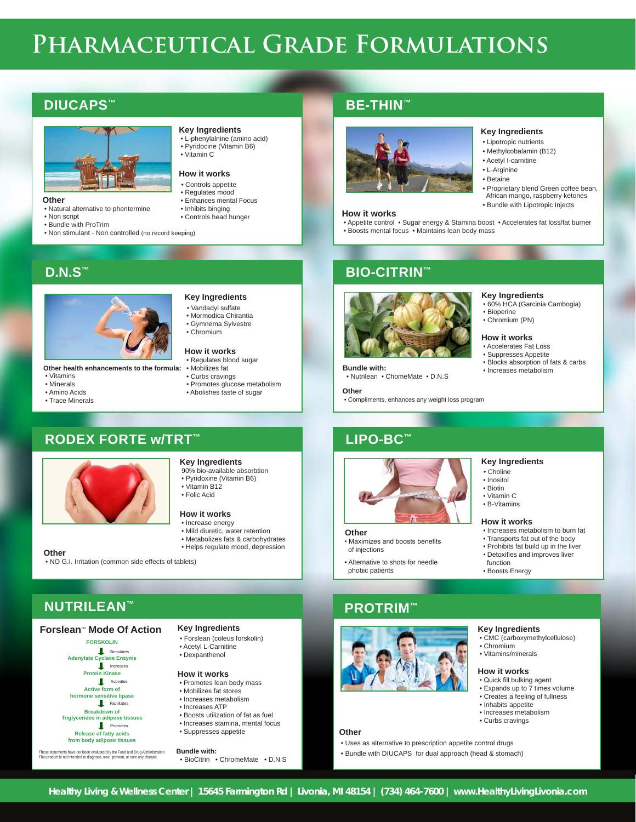# **Pharmaceutical Grade Formulations**

## **DIUCAPS™**



### **Other**

- Natural alternative to phentermine
- Non script

**D.N.S™**

 • Vitamins • Minerals • Amino Acids • Trace Minerals

• Bundle with ProTrim

## **Key Ingredients**

- L-phenylalnine (amino acid) Pyridocine (Vitamin B6)
- Vitamin C

## **How it works**

- Controls appetite
- Regulates mood
- Enhances mental Focus • Inhibits binging
- Controls head hunger

**Key Ingredients** • Vandadyl sulfate • Mormodica Chirantia • Gymnema Sylvestre • Chromium **How it works** • Regulates blood sugar • Mobilizes fat • Curbs cravings

**Key Ingredients** 90% bio-available absorbtion • Pyridoxine (Vitamin B6) • Vitamin B12 • Folic Acid

 • Promotes glucose metabolism • Abolishes taste of sugar

• Metabolizes fats & carbohydrates

- 
- Non stimulant Non controlled (no record keeping)

# **BE-THIN™**



### **How it works**

 • Appetite control • Sugar energy & Stamina boost • Accelerates fat loss/fat burner • Boosts mental focus • Maintains lean body mass

 • Lipotropic nutrients • Methylcobalamin (B12) • Acetyl I-carnitine • L-Arginine • Betaine

**Key Ingredients**

 • Bioperine • Chromium (PN) **How it works** • Accelerates Fat Loss

• 60% HCA (Garcinia Cambogia)

• Suppresses Appetite<br>• Blocks absorption of fats & carbs

 • Proprietary blend Green coffee bean, African mango, raspberry ketones • Bundle with Lipotropic Injects



• Nutrilean • ChomeMate • D.N.S

 **Other**

of injections

phobic patients

• Compliments, enhances any weight loss program

# **LIPO-BC™**



- - Transports fat out of the body
	-
	- function
	-
- Choline • Inositol • Biotin

**Key Ingredients**

- Vitamin C
- B-Vitamins

### **How it works**

- Increases metabolism to burn fat
- Prohibits fat build up in the liver
- Detoxifies and improves liver
- Boosts Energy

## **Forslean<sup>™</sup> Mode Of Action**

**FORSKOLIN Adenylate Cyclase Enzyme Protein Kinase Active form of hormone sensitive lipase Breakdown of Triglycerides in adipose tissues Release of fatty acids from body adipose tissues L** Stimulates I Increa **Activates**  $F$ acilitates Promotes

These statements have not been evaluated by the Food and Drug Administration This product is not intended to diagnose, treat, prevent, or cure any disease.

- **How it works**
	-
	-
	-
	-
- Suppresses appetite
- **Bundle with:**
- BioCitrin ChromeMate D.N.S

**PROTRIM™**

• Maximizes and boosts benefits

• Alternative to shots for needle



### **Key Ingredients** • CMC (carboxymethylcellulose)

- Chromium
- Vitamins/minerals

### **How it works**

- Quick fill bulking agent • Expands up to 7 times volume
- Creates a feeling of fullness
- Inhabits appetite
	- Increases metabolism
	- Curbs cravings
- 
- Uses as alternative to prescription appetite control drugs
- Bundle with DIUCAPS for dual approach (head & stomach)

**Other** 

# **NUTRILEAN™**



**How it works** • Increase energy • Mild diuretic, water retention

**RODEX FORTE w/TRT™**

**Other health enhancements to the formula:**

# **Key Ingredients**

- Forslean (coleus forskolin)
- Acetyl L-Carnitine • Dexpanthenol
- 

### • Promotes lean body mass

- Mobilizes fat stores
- Increases metabolism
- Increases ATP
- Boosts utilization of fat as fuel
- Increases stamina, mental focus

**BIO-CITRIN™**



**Other**